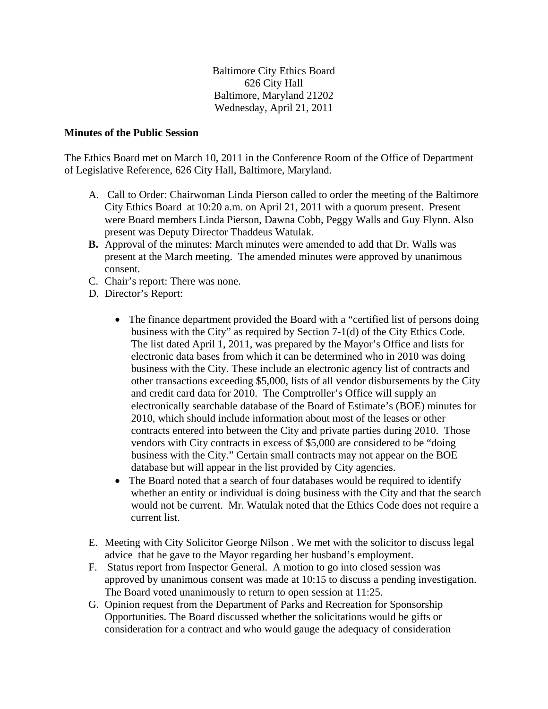Baltimore City Ethics Board 626 City Hall Baltimore, Maryland 21202 Wednesday, April 21, 2011

## **Minutes of the Public Session**

The Ethics Board met on March 10, 2011 in the Conference Room of the Office of Department of Legislative Reference, 626 City Hall, Baltimore, Maryland.

- A. Call to Order: Chairwoman Linda Pierson called to order the meeting of the Baltimore City Ethics Board at 10:20 a.m. on April 21, 2011 with a quorum present. Present were Board members Linda Pierson, Dawna Cobb, Peggy Walls and Guy Flynn. Also present was Deputy Director Thaddeus Watulak.
- **B.** Approval of the minutes: March minutes were amended to add that Dr. Walls was present at the March meeting. The amended minutes were approved by unanimous consent.
- C. Chair's report: There was none.
- D. Director's Report:
	- The finance department provided the Board with a "certified list of persons doing business with the City" as required by Section 7-1(d) of the City Ethics Code. The list dated April 1, 2011, was prepared by the Mayor's Office and lists for electronic data bases from which it can be determined who in 2010 was doing business with the City. These include an electronic agency list of contracts and other transactions exceeding \$5,000, lists of all vendor disbursements by the City and credit card data for 2010. The Comptroller's Office will supply an electronically searchable database of the Board of Estimate's (BOE) minutes for 2010, which should include information about most of the leases or other contracts entered into between the City and private parties during 2010. Those vendors with City contracts in excess of \$5,000 are considered to be "doing business with the City." Certain small contracts may not appear on the BOE database but will appear in the list provided by City agencies.
	- The Board noted that a search of four databases would be required to identify whether an entity or individual is doing business with the City and that the search would not be current. Mr. Watulak noted that the Ethics Code does not require a current list.
- E. Meeting with City Solicitor George Nilson . We met with the solicitor to discuss legal advice that he gave to the Mayor regarding her husband's employment.
- F. Status report from Inspector General. A motion to go into closed session was approved by unanimous consent was made at 10:15 to discuss a pending investigation. The Board voted unanimously to return to open session at 11:25.
- G. Opinion request from the Department of Parks and Recreation for Sponsorship Opportunities. The Board discussed whether the solicitations would be gifts or consideration for a contract and who would gauge the adequacy of consideration